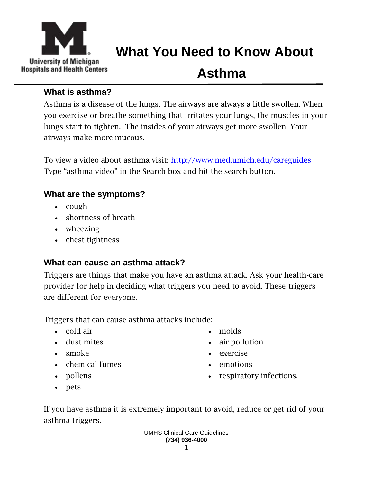

## **What You Need to Know About**

# **Asthma**

### **What is asthma?**

Asthma is a disease of the lungs. The airways are always a little swollen. When you exercise or breathe something that irritates your lungs, the muscles in your lungs start to tighten. The insides of your airways get more swollen. Your airways make more mucous.

To view a video about asthma visit:<http://www.med.umich.edu/careguides> Type "asthma video" in the Search box and hit the search button.

## **What are the symptoms?**

- $\bullet$  cough
- shortness of breath
- wheezing
- chest tightness

## **What can cause an asthma attack?**

Triggers are things that make you have an asthma attack. Ask your health-care provider for help in deciding what triggers you need to avoid. These triggers are different for everyone.

Triggers that can cause asthma attacks include:

- cold air
- dust mites
- smoke
- chemical fumes
- pollens
- pets
- molds
- air pollution
- exercise
- emotions
- respiratory infections.

If you have asthma it is extremely important to avoid, reduce or get rid of your asthma triggers.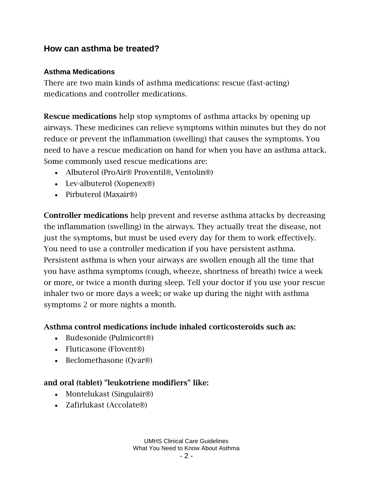#### **How can asthma be treated?**

#### **Asthma Medications**

There are two main kinds of asthma medications: rescue (fast-acting) medications and controller medications.

**Rescue medications** help stop symptoms of asthma attacks by opening up airways. These medicines can relieve symptoms within minutes but they do not reduce or prevent the inflammation (swelling) that causes the symptoms. You need to have a rescue medication on hand for when you have an asthma attack. Some commonly used rescue medications are:

- Albuterol (ProAir® Proventil®, Ventolin®)
- Lev-albuterol (Xopenex®)
- Pirbuterol (Maxair<sup>®)</sup>

**Controller medications** help prevent and reverse asthma attacks by decreasing the inflammation (swelling) in the airways. They actually treat the disease, not just the symptoms, but must be used every day for them to work effectively. You need to use a controller medication if you have persistent asthma. Persistent asthma is when your airways are swollen enough all the time that you have asthma symptoms (cough, wheeze, shortness of breath) twice a week or more, or twice a month during sleep. Tell your doctor if you use your rescue inhaler two or more days a week; or wake up during the night with asthma symptoms 2 or more nights a month.

#### **Asthma control medications include inhaled corticosteroids such as:**

- Budesonide (Pulmicort®)
- Fluticasone (Flovent®)
- Beclomethasone (Ovar<sup>®)</sup>

#### **and oral (tablet) "leukotriene modifiers" like:**

- Montelukast (Singulair<sup>®)</sup>
- Zafirlukast (Accolate®)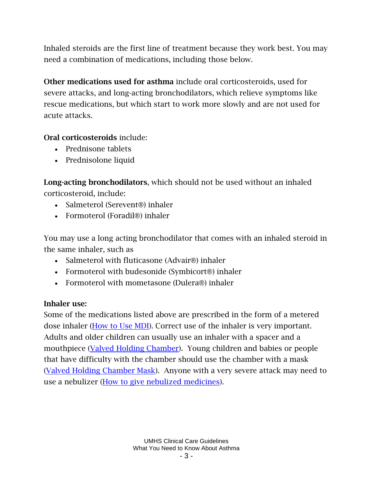Inhaled steroids are the first line of treatment because they work best. You may need a combination of medications, including those below.

**Other medications used for asthma** include oral corticosteroids, used for severe attacks, and long-acting bronchodilators, which relieve symptoms like rescue medications, but which start to work more slowly and are not used for acute attacks.

#### **Oral corticosteroids** include:

- Prednisone tablets
- Prednisolone liquid

**Long-acting bronchodilators**, which should not be used without an inhaled corticosteroid, include:

- Salmeterol (Serevent®) inhaler
- Formoterol (Foradil®) inhaler

You may use a long acting bronchodilator that comes with an inhaled steroid in the same inhaler, such as

- Salmeterol with fluticasone (Advair<sup>®</sup>) inhaler
- Formoterol with budesonide (Symbicort®) inhaler
- Formoterol with mometasone (Dulera®) inhaler

#### **Inhaler use:**

Some of the medications listed above are prescribed in the form of a metered dose inhaler [\(How to Use MDI\)](http://www.med.umich.edu/1info/FHP/practiceguides/asthma/MeteredDoseInhaler.pdf). Correct use of the inhaler is very important. Adults and older children can usually use an inhaler with a spacer and a mouthpiece [\(Valved Holding Chamber\)](http://www.med.umich.edu/1info/FHP/practiceguides/asthma/ValvedHoldingChamber.pdf). Young children and babies or people that have difficulty with the chamber should use the chamber with a mask [\(Valved Holding Chamber Mask\)](http://www.med.umich.edu/1info/FHP/practiceguides/asthma/ValvedHoldingChamberMask.pdf). Anyone with a very severe attack may need to use a nebulizer [\(How to give nebulized medicines\)](http://www.med.umich.edu/1info/FHP/practiceguides/asthma/GivingNebulizedMedicines.pdf).